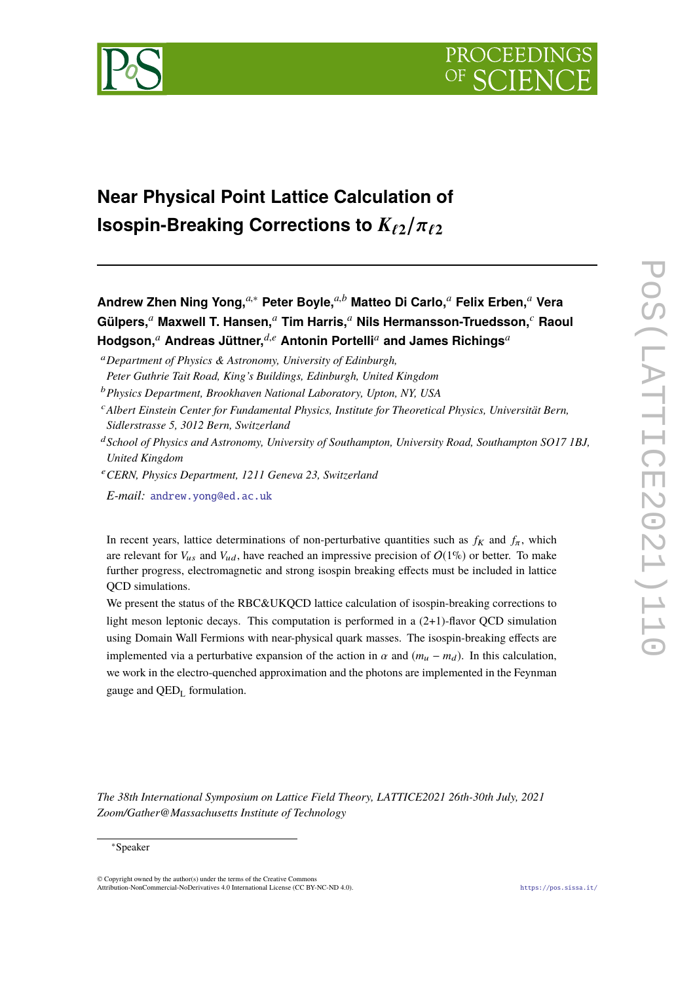

# **Near Physical Point Lattice Calculation of Isospin-Breaking Corrections to**  $K_{\ell2}/\pi_{\ell2}$

**Andrew Zhen Ning Yong,***a*,<sup>∗</sup> **Peter Boyle,***a*,*<sup>b</sup>* **Matteo Di Carlo,***<sup>a</sup>* **Felix Erben,***<sup>a</sup>* **Vera Gülpers,***<sup>a</sup>* **Maxwell T. Hansen,***<sup>a</sup>* **Tim Harris,***<sup>a</sup>* **Nils Hermansson-Truedsson,***<sup>c</sup>* **Raoul Hodgson,***<sup>a</sup>* **Andreas Jüttner,***d*,*<sup>e</sup>* **Antonin Portelli***<sup>a</sup>* **and James Richings***<sup>a</sup>*

*Peter Guthrie Tait Road, King's Buildings, Edinburgh, United Kingdom*

- <sup>c</sup>*Albert Einstein Center for Fundamental Physics, Institute for Theoretical Physics, Universität Bern, Sidlerstrasse 5, 3012 Bern, Switzerland*
- <sup>d</sup>*School of Physics and Astronomy, University of Southampton, University Road, Southampton SO17 1BJ, United Kingdom*
- <sup>e</sup>*CERN, Physics Department, 1211 Geneva 23, Switzerland*
- *E-mail:* [andrew.yong@ed.ac.uk](mailto:andrew.yong@ed.ac.uk)

In recent years, lattice determinations of non-perturbative quantities such as  $f_K$  and  $f_\pi$ , which are relevant for  $V_{\mu s}$  and  $V_{\mu d}$ , have reached an impressive precision of  $O(1\%)$  or better. To make further progress, electromagnetic and strong isospin breaking effects must be included in lattice QCD simulations.

We present the status of the RBC&UKQCD lattice calculation of isospin-breaking corrections to light meson leptonic decays. This computation is performed in a (2+1)-flavor QCD simulation using Domain Wall Fermions with near-physical quark masses. The isospin-breaking effects are implemented via a perturbative expansion of the action in  $\alpha$  and  $(m_u - m_d)$ . In this calculation, we work in the electro-quenched approximation and the photons are implemented in the Feynman gauge and  $QED<sub>L</sub>$  formulation.

*The 38th International Symposium on Lattice Field Theory, LATTICE2021 26th-30th July, 2021 Zoom/Gather@Massachusetts Institute of Technology*

<sup>a</sup>*Department of Physics & Astronomy, University of Edinburgh,*

<sup>b</sup>*Physics Department, Brookhaven National Laboratory, Upton, NY, USA*

<sup>∗</sup>Speaker

<sup>©</sup> Copyright owned by the author(s) under the terms of the Creative Commons Attribution-NonCommercial-NoDerivatives 4.0 International License (CC BY-NC-ND 4.0). <https://pos.sissa.it/>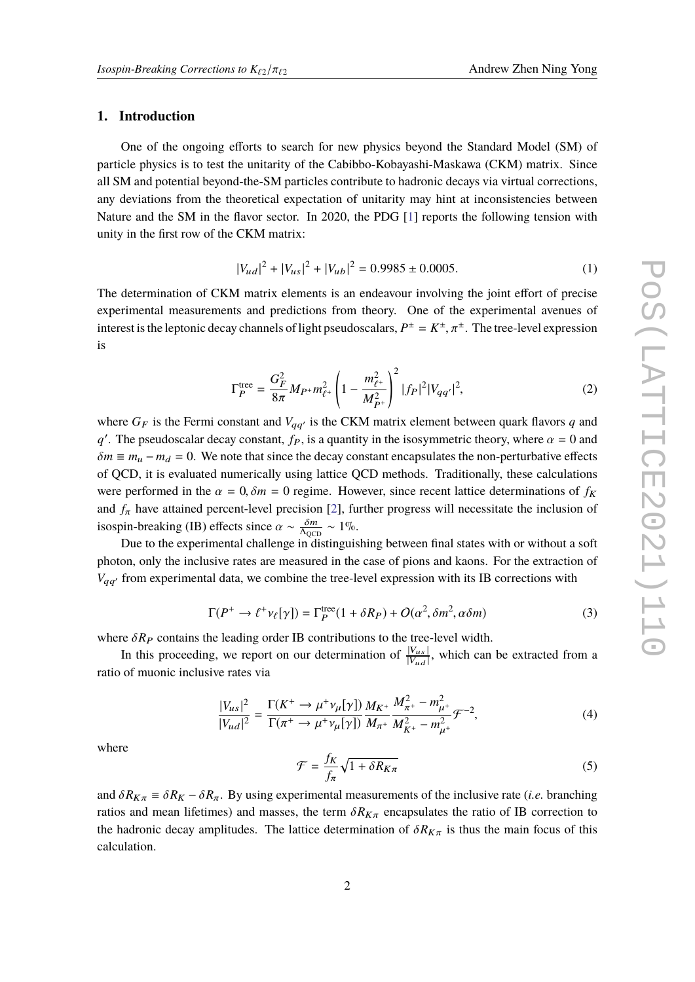#### **1. Introduction**

One of the ongoing efforts to search for new physics beyond the Standard Model (SM) of particle physics is to test the unitarity of the Cabibbo-Kobayashi-Maskawa (CKM) matrix. Since all SM and potential beyond-the-SM particles contribute to hadronic decays via virtual corrections, any deviations from the theoretical expectation of unitarity may hint at inconsistencies between Nature and the SM in the flavor sector. In 2020, the PDG [\[1\]](#page-9-0) reports the following tension with unity in the first row of the CKM matrix:

<span id="page-1-0"></span>
$$
|V_{ud}|^2 + |V_{us}|^2 + |V_{ub}|^2 = 0.9985 \pm 0.0005. \tag{1}
$$

The determination of CKM matrix elements is an endeavour involving the joint effort of precise experimental measurements and predictions from theory. One of the experimental avenues of interest is the leptonic decay channels of light pseudoscalars,  $P^{\pm} = K^{\pm}, \pi^{\pm}$ . The tree-level expression is

$$
\Gamma_P^{\text{tree}} = \frac{G_F^2}{8\pi} M_{P^+} m_{\ell^+}^2 \left( 1 - \frac{m_{\ell^+}^2}{M_{P^+}^2} \right)^2 |f_P|^2 |V_{qq'}|^2, \tag{2}
$$

where  $G_F$  is the Fermi constant and  $V_{qq'}$  is the CKM matrix element between quark flavors q and *q*<sup>'</sup>. The pseudoscalar decay constant, *f<sub>P</sub>*, is a quantity in the isosymmetric theory, where  $\alpha = 0$  and  $\delta m = m$ ,  $m = 0$ . We note that since the decay constant approximates the non-neutralistic effects.  $\delta m \equiv m_u - m_d = 0$ . We note that since the decay constant encapsulates the non-perturbative effects of QCD, it is evaluated numerically using lattice QCD methods. Traditionally, these calculations were performed in the  $\alpha = 0$ ,  $\delta m = 0$  regime. However, since recent lattice determinations of  $f_K$ and  $f_{\pi}$  have attained percent-level precision [\[2\]](#page-9-1), further progress will necessitate the inclusion of isospin-breaking (IB) effects since  $\alpha \sim \frac{\delta m}{\Lambda_{\text{QCD}}} \sim 1\%$ .

Due to the experimental challenge in distinguishing between final states with or without a soft photon, only the inclusive rates are measured in the case of pions and kaons. For the extraction of  $V_{qq'}$  from experimental data, we combine the tree-level expression with its IB corrections with

$$
\Gamma(P^+ \to \ell^+ \nu_\ell[\gamma]) = \Gamma_P^{\text{tree}}(1 + \delta R_P) + O(\alpha^2, \delta m^2, \alpha \delta m)
$$
 (3)

where  $\delta R_P$  contains the leading order IB contributions to the tree-level width.

In this proceeding, we report on our determination of  $\frac{|V_{us}|}{|V_{ud}|}$ , which can be extracted from a ratio of muonic inclusive rates via

$$
\frac{|V_{us}|^2}{|V_{ud}|^2} = \frac{\Gamma(K^+ \to \mu^+ \nu_\mu[\gamma])}{\Gamma(\pi^+ \to \mu^+ \nu_\mu[\gamma])} \frac{M_{K^+}}{M_{\pi^+}^2} \frac{M_{\pi^+}^2 - m_{\mu^+}^2}{M_{K^+}^2 - m_{\mu^+}^2} \mathcal{F}^{-2},\tag{4}
$$

where

$$
\mathcal{F} = \frac{f_K}{f_\pi} \sqrt{1 + \delta R_{K\pi}} \tag{5}
$$

and  $\delta R_{K\pi} = \delta R_K - \delta R_\pi$ . By using experimental measurements of the inclusive rate (*i.e.* branching ratios and mean lifetimes) and masses, the term  $\delta R_{K\pi}$  encapsulates the ratio of IB correction to the hadronic decay amplitudes. The lattice determination of  $\delta R_{K\pi}$  is thus the main focus of this calculation.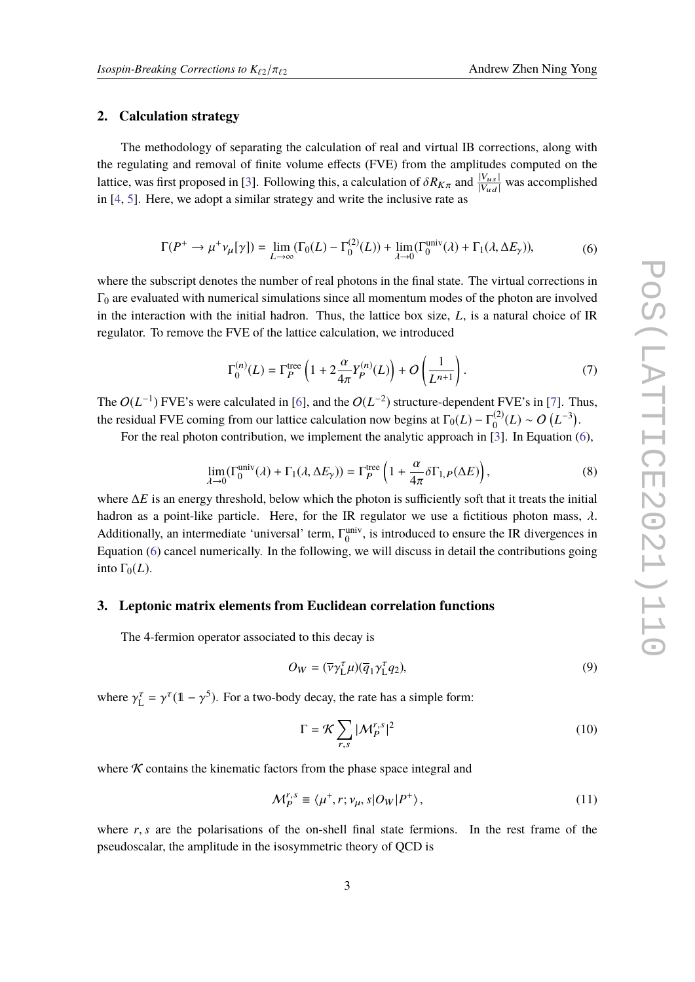#### **2. Calculation strategy**

The methodology of separating the calculation of real and virtual IB corrections, along with the regulating and removal of finite volume effects (FVE) from the amplitudes computed on the lattice, was first proposed in [\[3\]](#page-9-2). Following this, a calculation of  $\delta R_{K\pi}$  and  $\frac{|V_{us}|}{|V_{ud}|}$  was accomplished in [\[4,](#page-9-3) [5\]](#page-9-4). Here, we adopt a similar strategy and write the inclusive rate as

$$
\Gamma(P^+ \to \mu^+ \nu_\mu[\gamma]) = \lim_{L \to \infty} (\Gamma_0(L) - \Gamma_0^{(2)}(L)) + \lim_{\lambda \to 0} (\Gamma_0^{\text{univ}}(\lambda) + \Gamma_1(\lambda, \Delta E_\gamma)),\tag{6}
$$

<span id="page-2-0"></span>where the subscript denotes the number of real photons in the final state. The virtual corrections in  $\Gamma_0$  are evaluated with numerical simulations since all momentum modes of the photon are involved in the interaction with the initial hadron. Thus, the lattice box size, *L*, is a natural choice of IR regulator. To remove the FVE of the lattice calculation, we introduced

$$
\Gamma_0^{(n)}(L) = \Gamma_P^{\text{tree}} \left( 1 + 2 \frac{\alpha}{4\pi} Y_P^{(n)}(L) \right) + O\left(\frac{1}{L^{n+1}}\right). \tag{7}
$$

The  $O(L^{-1})$  FVE's were calculated in [\[6\]](#page-10-0), and the  $O(L^{-2})$  structure-dependent FVE's in [\[7\]](#page-10-1). Thus, the residual FVE coming from our lattice calculation now begins at  $\Gamma_0(L) - \Gamma_0^{(2)}(L) \sim O(L^{-3})$ .

For the real photon contribution, we implement the analytic approach in [\[3\]](#page-9-2). In Equation [\(6\)](#page-2-0),

$$
\lim_{\lambda \to 0} (\Gamma_0^{\text{univ}}(\lambda) + \Gamma_1(\lambda, \Delta E_\gamma)) = \Gamma_P^{\text{tree}} \left( 1 + \frac{\alpha}{4\pi} \delta \Gamma_{1,P}(\Delta E) \right),\tag{8}
$$
  
where  $\Delta E$  is an energy threshold, below which the photon is sufficiently soft that it treats the initial

hadron as a point-like particle. Here, for the IR regulator we use a fictitious photon mass,  $\lambda$ . Additionally, an intermediate 'universal' term,  $\Gamma_0^{\text{univ}}$ , is introduced to ensure the IR divergences in Equation [\(6\)](#page-2-0) cancel numerically. In the following, we will discuss in detail the contributions going into  $\Gamma_0(L)$ .

## **3. Leptonic matrix elements from Euclidean correlation functions**

The 4-fermion operator associated to this decay is

$$
O_W = (\overline{\nu}\gamma_{\rm L}^{\tau}\mu)(\overline{q}_1\gamma_{\rm L}^{\tau}q_2),\tag{9}
$$

where  $\gamma_L^{\tau} = \gamma^{\tau} (1 - \gamma^5)$ . For a two-body decay, the rate has a simple form:

$$
\Gamma = \mathcal{K} \sum_{r,s} |\mathcal{M}_P^{r,s}|^2 \tag{10}
$$

where  $K$  contains the kinematic factors from the phase space integral and

$$
\mathcal{M}_P^{r,s} \equiv \langle \mu^+, r; \nu_\mu, s | O_W | P^+ \rangle, \tag{11}
$$

where  $r, s$  are the polarisations of the on-shell final state fermions. In the rest frame of the pseudoscalar, the amplitude in the isosymmetric theory of QCD is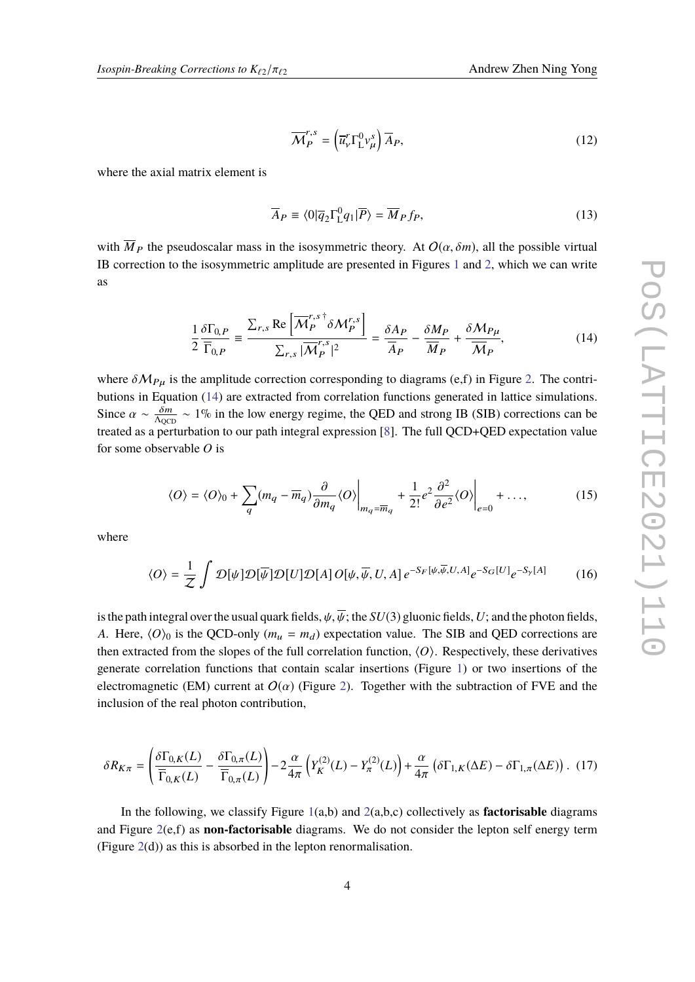$$
\overline{\mathcal{M}}_{P}^{r,s} = \left(\overline{u}_{V}^{r} \Gamma_{L}^{0} v_{\mu}^{s}\right) \overline{A}_{P},\tag{12}
$$

where the axial matrix element is

$$
\overline{A}_P \equiv \langle 0|\overline{q}_2 \Gamma_{\text{L}}^0 q_1|\overline{P}\rangle = \overline{M}_P f_P,\tag{13}
$$

with  $\overline{M}_P$  the pseudoscalar mass in the isosymmetric theory. At  $O(\alpha, \delta m)$ , all the possible virtual IB correction to the isosymmetric amplitude are presented in Figures [1](#page-4-0) and [2,](#page-4-1) which we can write as

<span id="page-3-0"></span>
$$
\frac{1}{2} \frac{\delta \Gamma_{0,P}}{\overline{\Gamma}_{0,P}} = \frac{\sum_{r,s} \text{Re}\left[\overline{\mathcal{M}}_P^{r,s \dagger} \delta \mathcal{M}_P^{r,s}\right]}{\sum_{r,s} |\overline{\mathcal{M}}_P^{r,s}|^2} = \frac{\delta A_P}{\overline{A}_P} - \frac{\delta M_P}{\overline{M}_P} + \frac{\delta M_{P\mu}}{\overline{M}_P},\tag{14}
$$

where  $\delta M_{P\mu}$  is the amplitude correction corresponding to diagrams (e,f) in Figure [2.](#page-4-1) The contributions in Equation [\(14\)](#page-3-0) are extracted from correlation functions generated in lattice simulations. Since  $\alpha \sim \frac{\delta m}{\Lambda_{\text{QCD}}} \sim 1\%$  in the low energy regime, the QED and strong IB (SIB) corrections can be tracted as a neutralistic to surport integral synthesis [9]. The full OCD+OED synthetics value treated as a perturbation to our path integral expression [\[8\]](#page-10-2). The full QCD+QED expectation value for some observable *O* is

$$
\langle O \rangle = \langle O \rangle_0 + \sum_q (m_q - \overline{m}_q) \frac{\partial}{\partial m_q} \langle O \rangle \Big|_{m_q = \overline{m}_q} + \frac{1}{2!} e^2 \frac{\partial^2}{\partial e^2} \langle O \rangle \Big|_{e=0} + \dots,
$$
 (15)

where

$$
\langle O \rangle = \frac{1}{Z} \int \mathcal{D}[\psi] \mathcal{D}[\overline{\psi}] \mathcal{D}[U] \mathcal{D}[A] O[\psi, \overline{\psi}, U, A] e^{-S_F[\psi, \overline{\psi}, U, A]} e^{-S_G[U]} e^{-S_{\gamma}[A]} \tag{16}
$$

is the path integral over the usual quark fields,  $\psi$ ,  $\overline{\psi}$ ; the *SU*(3) gluonic fields, *U*; and the photon fields, *A*. Here,  $\langle O \rangle_0$  is the QCD-only ( $m_u = m_d$ ) expectation value. The SIB and QED corrections are then extracted from the slopes of the full correlation function,  $\langle O \rangle$ . Respectively, these derivatives generate correlation functions that contain scalar insertions (Figure [1\)](#page-4-0) or two insertions of the electromagnetic (EM) current at  $O(\alpha)$  (Figure [2\)](#page-4-1). Together with the subtraction of FVE and the inclusion of the real photon contribution,

<span id="page-3-1"></span>
$$
\delta R_{K\pi} = \left(\frac{\delta \Gamma_{0,K}(L)}{\overline{\Gamma}_{0,K}(L)} - \frac{\delta \Gamma_{0,\pi}(L)}{\overline{\Gamma}_{0,\pi}(L)}\right) - 2\frac{\alpha}{4\pi} \left(Y_K^{(2)}(L) - Y_\pi^{(2)}(L)\right) + \frac{\alpha}{4\pi} \left(\delta \Gamma_{1,K}(\Delta E) - \delta \Gamma_{1,\pi}(\Delta E)\right). \tag{17}
$$

In the following, we classify Figure  $1(a,b)$  $1(a,b)$  and  $2(a,b,c)$  $2(a,b,c)$  collectively as **factorisable** diagrams and Figure [2\(](#page-4-1)e,f) as **non-factorisable** diagrams. We do not consider the lepton self energy term (Figure  $2(d)$  $2(d)$ ) as this is absorbed in the lepton renormalisation.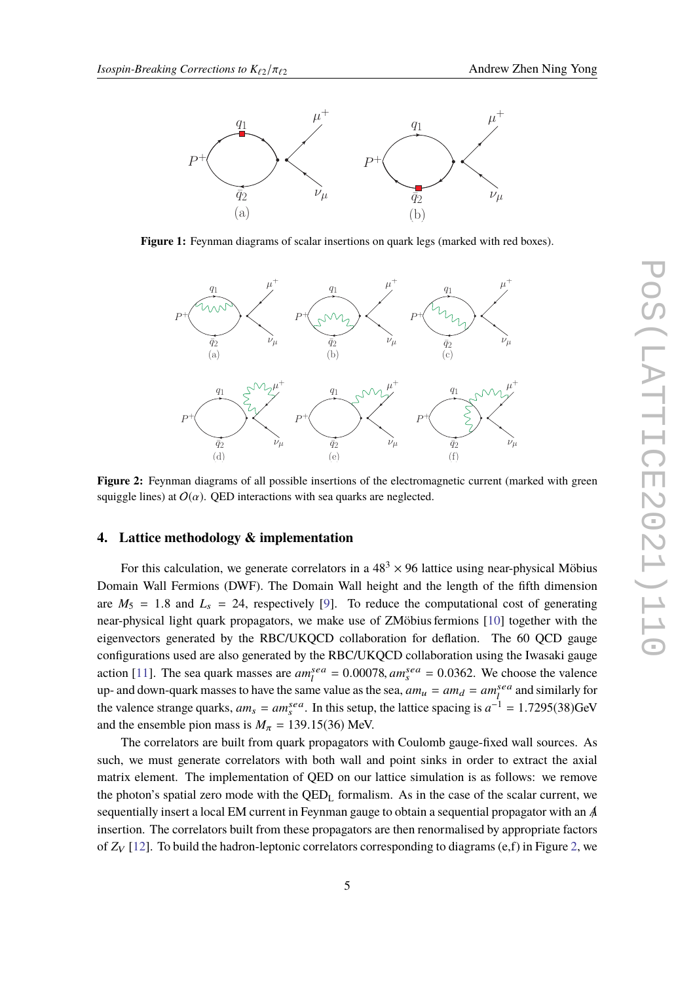<span id="page-4-0"></span>

<span id="page-4-1"></span>**Figure 1:** Feynman diagrams of scalar insertions on quark legs (marked with red boxes).



**Figure 2:** Feynman diagrams of all possible insertions of the electromagnetic current (marked with green squiggle lines) at  $O(\alpha)$ . QED interactions with sea quarks are neglected.

# **4. Lattice methodology & implementation**

For this calculation, we generate correlators in a  $48<sup>3</sup> \times 96$  lattice using near-physical Möbius Domain Wall Fermions (DWF). The Domain Wall height and the length of the fifth dimension are  $M_5 = 1.8$  and  $L_s = 24$ , respectively [\[9\]](#page-10-3). To reduce the computational cost of generating near-physical light quark propagators, we make use of ZMöbius fermions [\[10\]](#page-10-4) together with the eigenvectors generated by the RBC/UKQCD collaboration for deflation. The 60 QCD gauge configurations used are also generated by the RBC/UKQCD collaboration using the Iwasaki gauge action [\[11\]](#page-10-5). The sea quark masses are  $am_l^{sea} = 0.00078$ ,  $am_s^{sea} = 0.0362$ . We choose the valence up- and down-quark masses to have the same value as the sea,  $am_u = am_d = am_l^{sea}$  and similarly for the valence strange quarks,  $am_s = am_s^{sea}$ . In this setup, the lattice spacing is  $a^{-1} = 1.7295(38)$ GeV and the ensemble pion mass is  $M_{\pi} = 139.15(36)$  MeV.

The correlators are built from quark propagators with Coulomb gauge-fixed wall sources. As such, we must generate correlators with both wall and point sinks in order to extract the axial matrix element. The implementation of QED on our lattice simulation is as follows: we remove the photon's spatial zero mode with the  $QED<sub>L</sub>$  formalism. As in the case of the scalar current, we sequentially insert a local EM current in Feynman gauge to obtain a sequential propagator with an *A*/ insertion. The correlators built from these propagators are then renormalised by appropriate factors of  $Z_V$  [\[12\]](#page-10-6). To build the hadron-leptonic correlators corresponding to diagrams (e,f) in Figure [2,](#page-4-1) we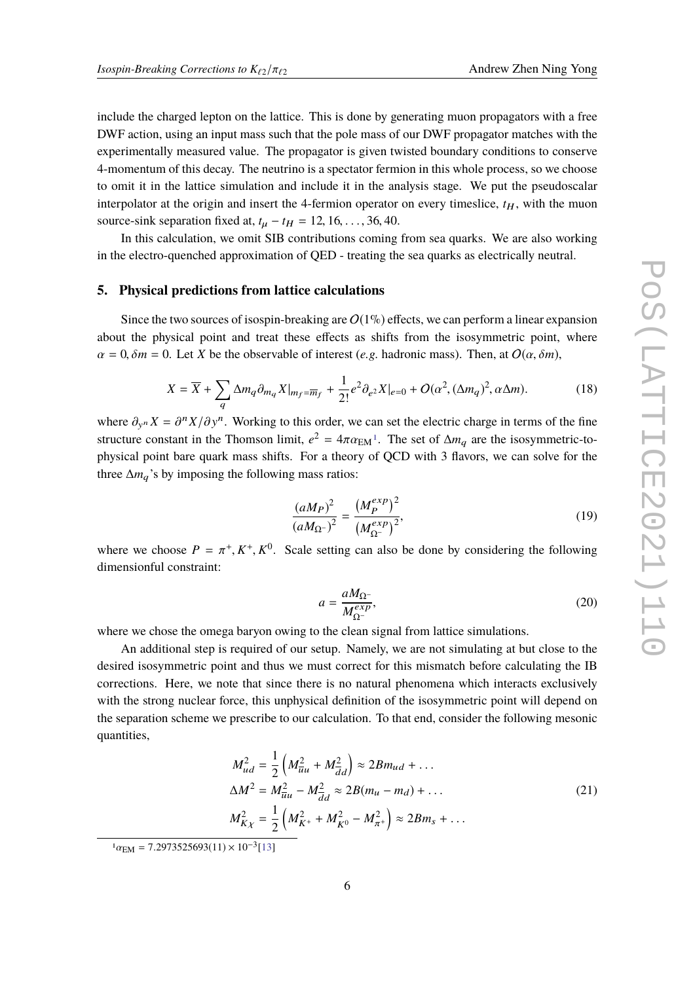include the charged lepton on the lattice. This is done by generating muon propagators with a free DWF action, using an input mass such that the pole mass of our DWF propagator matches with the experimentally measured value. The propagator is given twisted boundary conditions to conserve 4-momentum of this decay. The neutrino is a spectator fermion in this whole process, so we choose to omit it in the lattice simulation and include it in the analysis stage. We put the pseudoscalar interpolator at the origin and insert the 4-fermion operator on every timeslice,  $t_H$ , with the muon source-sink separation fixed at,  $t_{\mu} - t_{H} = 12, 16, \ldots, 36, 40$ .

In this calculation, we omit SIB contributions coming from sea quarks. We are also working in the electro-quenched approximation of QED - treating the sea quarks as electrically neutral.

#### **5. Physical predictions from lattice calculations**

Since the two sources of isospin-breaking are  $O(1\%)$  effects, we can perform a linear expansion about the physical point and treat these effects as shifts from the isosymmetric point, where  $\alpha = 0$ ,  $\delta m = 0$ . Let *X* be the observable of interest (*e.g.* hadronic mass). Then, at  $O(\alpha, \delta m)$ ,

<span id="page-5-1"></span>
$$
X = \overline{X} + \sum_{q} \Delta m_q \partial_{m_q} X|_{m_f = \overline{m}_f} + \frac{1}{2!} e^2 \partial_{e^2} X|_{e=0} + O(\alpha^2, (\Delta m_q)^2, \alpha \Delta m). \tag{18}
$$

where  $\partial_{y^n} X = \partial^n X / \partial y^n$ . Working to this order, we can set the electric charge in terms of the fine<br>extensive constant in the Thomson limit,  $\partial^2 = 4\pi \partial y + \partial^2 y$ . The set of American the isocurrential to structure constant in the Thomson limit,  $e^2 = 4\pi \alpha_{EM}$ <sup>[1](#page-5-0)</sup>. The set of  $\Delta m_q$  are the isosymmetric-to-<br>physical point have sucely mass shifts. For a theory of OCD with 2 flavors we can salve for the physical point bare quark mass shifts. For a theory of QCD with 3 flavors, we can solve for the three  $\Delta m_q$ 's by imposing the following mass ratios:

$$
\frac{(aM_P)^2}{(aM_{\Omega^-})^2} = \frac{(M_P^{exp})^2}{(M_{\Omega^-}^{exp})^2},
$$
\n(19)

where we choose  $P = \pi^+, K^+, K^0$ . Scale setting can also be done by considering the following dimensionful constraints dimensionful constraint:

$$
a = \frac{aM_{\Omega}^{-}}{M_{\Omega}^{exp}},\tag{20}
$$

where we chose the omega baryon owing to the clean signal from lattice simulations.

An additional step is required of our setup. Namely, we are not simulating at but close to the desired isosymmetric point and thus we must correct for this mismatch before calculating the IB corrections. Here, we note that since there is no natural phenomena which interacts exclusively with the strong nuclear force, this unphysical definition of the isosymmetric point will depend on the separation scheme we prescribe to our calculation. To that end, consider the following mesonic quantities,

$$
M_{ud}^2 = \frac{1}{2} \left( M_{\bar{u}u}^2 + M_{\bar{d}d}^2 \right) \approx 2Bm_{ud} + \dots
$$
  
\n
$$
\Delta M^2 = M_{\bar{u}u}^2 - M_{\bar{d}d}^2 \approx 2B(m_u - m_d) + \dots
$$
  
\n
$$
M_{K\chi}^2 = \frac{1}{2} \left( M_{K^+}^2 + M_{K^0}^2 - M_{\pi^+}^2 \right) \approx 2Bm_s + \dots
$$
\n(21)

<span id="page-5-0"></span> $1\alpha_{\text{EM}} = 7.2973525693(11) \times 10^{-3} [13]$  $1\alpha_{\text{EM}} = 7.2973525693(11) \times 10^{-3} [13]$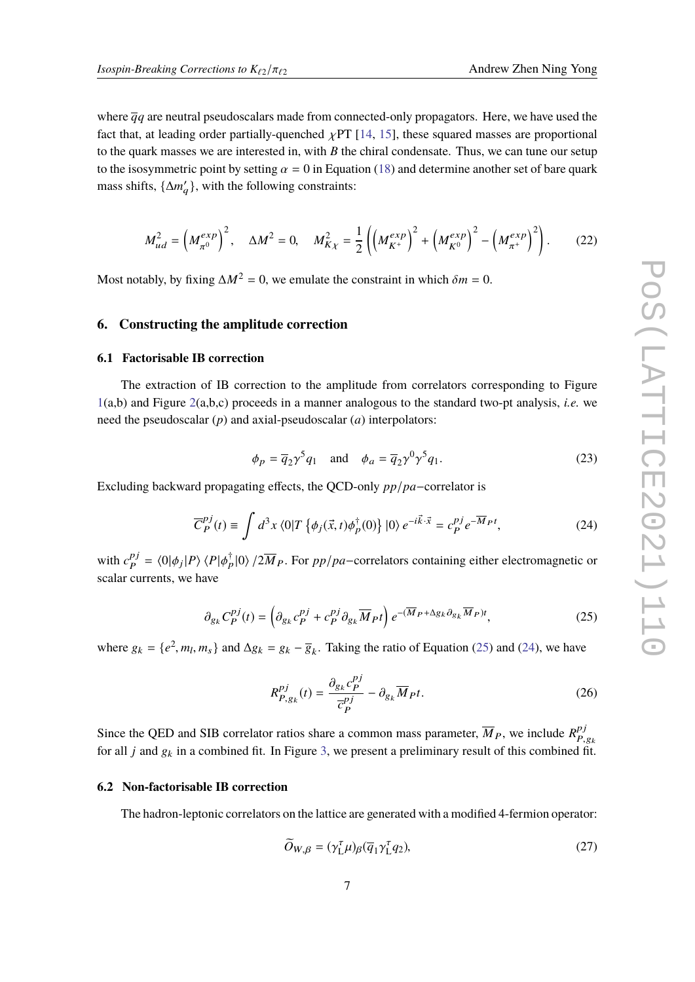where  $\overline{q}q$  are neutral pseudoscalars made from connected-only propagators. Here, we have used the fact that, at leading order partially-quenched  $\chi PT$  [\[14,](#page-10-8) [15\]](#page-10-9), these squared masses are proportional to the quark masses we are interested in, with *B* the chiral condensate. Thus, we can tune our setup to the isosymmetric point by setting  $\alpha = 0$  in Equation [\(18\)](#page-5-1) and determine another set of bare quark mass shifts,  $\{\Delta m'_q\}$ , with the following constraints:

$$
M_{ud}^2 = \left(M_{\pi^0}^{exp}\right)^2, \quad \Delta M^2 = 0, \quad M_{K\chi}^2 = \frac{1}{2}\left(\left(M_{K^+}^{exp}\right)^2 + \left(M_{K^0}^{exp}\right)^2 - \left(M_{\pi^+}^{exp}\right)^2\right). \tag{22}
$$

Most notably, by fixing  $\Delta M^2 = 0$ , we emulate the constraint in which  $\delta m = 0$ .

## **6. Constructing the amplitude correction**

#### **6.1 Factorisable IB correction**

The extraction of IB correction to the amplitude from correlators corresponding to Figure [1\(](#page-4-0)a,b) and Figure [2\(](#page-4-1)a,b,c) proceeds in a manner analogous to the standard two-pt analysis, *i.e.* we need the pseudoscalar (*p*) and axial-pseudoscalar (*a*) interpolators:

$$
\phi_p = \overline{q}_2 \gamma^5 q_1 \quad \text{and} \quad \phi_a = \overline{q}_2 \gamma^0 \gamma^5 q_1. \tag{23}
$$

Excluding backward propagating effects, the QCD-only *pp*/*pa*−correlator is

<span id="page-6-1"></span>
$$
\overline{C}_{P}^{pj}(t) \equiv \int d^3x \langle 0|T \left\{ \phi_j(\vec{x},t) \phi_p^{\dagger}(0) \right\} |0\rangle e^{-i\vec{k}\cdot\vec{x}} = c_{P}^{pj} e^{-\overline{M}_{P}t}, \tag{24}
$$

with  $c_{\bf p}^{pj}$  $P_P^j = \langle 0 | \phi_j | P \rangle \langle P | \phi_p^{\dagger} | 0 \rangle / 2 \overline{M}_P$ . For  $pp/pa$ –correlators containing either electromagnetic or scalar currents, we have

<span id="page-6-0"></span>
$$
\partial_{g_k} C_P^{pj}(t) = \left( \partial_{g_k} c_P^{pj} + c_P^{pj} \partial_{g_k} \overline{M}_P t \right) e^{-(\overline{M}_P + \Delta g_k \partial_{g_k} \overline{M}_P)t},\tag{25}
$$

where  $g_k = \{e^2, m_l, m_s\}$  and  $\Delta g_k = g_k - \overline{g}_k$ . Taking the ratio of Equation [\(25\)](#page-6-0) and [\(24\)](#page-6-1), we have

$$
R_{P,g_k}^{pj}(t) = \frac{\partial_{g_k} c_P^{pj}}{\overline{c}_P^{pj}} - \partial_{g_k} \overline{M}_P t.
$$
 (26)

Since the QED and SIB correlator ratios share a common mass parameter,  $\overline{M}_P$ , we include  $R_P^{pj}$  $P,g_k$ <br> $\overline{A}$ for all *j* and  $g_k$  in a combined fit. In Figure [3,](#page-7-0) we present a preliminary result of this combined fit.

#### **6.2 Non-factorisable IB correction**

The hadron-leptonic correlators on the lattice are generated with a modified 4-fermion operator:

$$
\widetilde{O}_{W,\beta} = (\gamma_{\text{L}}^{\tau}\mu)_{\beta}(\overline{q}_1\gamma_{\text{L}}^{\tau}q_2),\tag{27}
$$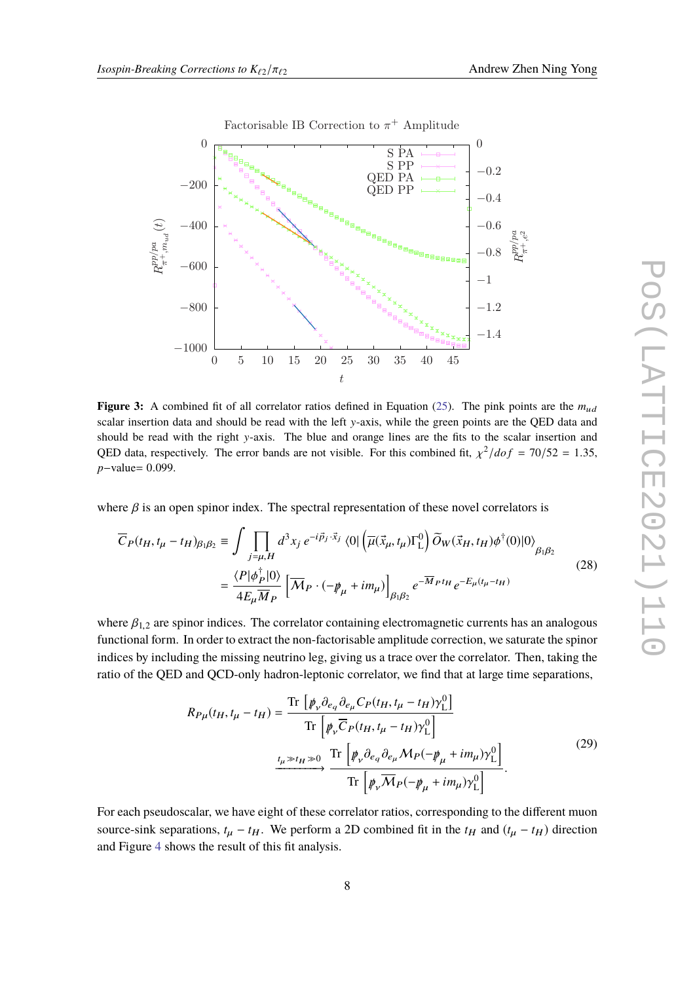<span id="page-7-0"></span>

Factorisable IB Correction to  $\pi^+$  Amplitude

**Figure 3:** A combined fit of all correlator ratios defined in Equation [\(25\)](#page-6-0). The pink points are the  $m_{ud}$ scalar insertion data and should be read with the left y-axis, while the green points are the QED data and should be read with the right y-axis. The blue and orange lines are the fits to the scalar insertion and QED data, respectively. The error bands are not visible. For this combined fit,  $\chi^2/dof = 70/52 = 1.35$ , *<sup>p</sup>*−value<sup>=</sup> <sup>0</sup>.099.

where  $\beta$  is an open spinor index. The spectral representation of these novel correlators is

$$
\overline{C}_P(t_H, t_\mu - t_H)_{\beta_1 \beta_2} \equiv \int \prod_{j=\mu, H} d^3 x_j e^{-i\vec{p}_j \cdot \vec{x}_j} \langle 0 | \left( \overline{\mu}(\vec{x}_\mu, t_\mu) \Gamma^0_L \right) \widetilde{O}_W(\vec{x}_H, t_H) \phi^\dagger(0) | 0 \rangle_{\beta_1 \beta_2}
$$
\n
$$
= \frac{\langle P | \phi_P^\dagger | 0 \rangle}{4E_\mu \overline{M}_P} \left[ \overline{\mathcal{M}}_P \cdot \left( -\psi_\mu + i m_\mu \right) \right]_{\beta_1 \beta_2} e^{-\overline{M}_P t_H} e^{-E_\mu(t_\mu - t_H)} \tag{28}
$$

where  $\beta_{1,2}$  are spinor indices. The correlator containing electromagnetic currents has an analogous functional form. In order to extract the non-factorisable amplitude correction, we saturate the spinor indices by including the missing neutrino leg, giving us a trace over the correlator. Then, taking the ratio of the QED and QCD-only hadron-leptonic correlator, we find that at large time separations,

$$
R_{P\mu}(t_H, t_\mu - t_H) = \frac{\text{Tr}\left[\rlap{\,/}p_{\nu}\partial_{e_q}\partial_{e_{\mu}}C_P(t_H, t_{\mu} - t_H)\gamma^0_{\text{L}}\right]}{\text{Tr}\left[\rlap{\,/}p_{\nu}\overline{C}_P(t_H, t_{\mu} - t_H)\gamma^0_{\text{L}}\right]}
$$
\n
$$
\xrightarrow{t_\mu \gg t_H \gg 0} \frac{\text{Tr}\left[\rlap{\,/}p_{\nu}\partial_{e_q}\partial_{e_{\mu}}M_P(-\rlap{\,/}p_{\mu} + im_{\mu})\gamma^0_{\text{L}}\right]}{\text{Tr}\left[\rlap{\,/}p_{\nu}\overline{M}_P(-\rlap{\,/}p_{\mu} + im_{\mu})\gamma^0_{\text{L}}\right]}.
$$
\n(29)

<span id="page-7-1"></span>For each pseudoscalar, we have eight of these correlator ratios, corresponding to the different muon source-sink separations,  $t_{\mu} - t_H$ . We perform a 2D combined fit in the  $t_H$  and  $(t_{\mu} - t_H)$  direction and Figure [4](#page-8-0) shows the result of this fit analysis.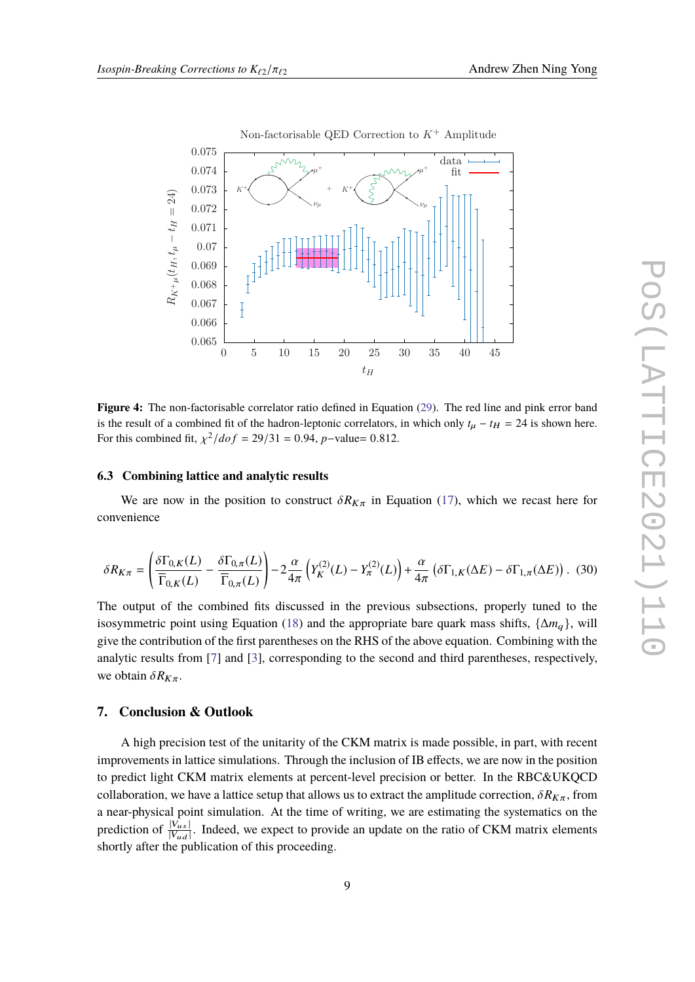<span id="page-8-0"></span>

**Figure 4:** The non-factorisable correlator ratio defined in Equation [\(29\)](#page-7-1). The red line and pink error band is the result of a combined fit of the hadron-leptonic correlators, in which only  $t<sub>\mu</sub> - t<sub>H</sub> = 24$  is shown here. For this combined fit,  $\chi^2/dof = 29/31 = 0.94$ , *p*−value= 0.812.

#### **6.3 Combining lattice and analytic results**

We are now in the position to construct  $\delta R_{K\pi}$  in Equation [\(17\)](#page-3-1), which we recast here for convenience

$$
\delta R_{K\pi} = \left(\frac{\delta \Gamma_{0,K}(L)}{\overline{\Gamma}_{0,K}(L)} - \frac{\delta \Gamma_{0,\pi}(L)}{\overline{\Gamma}_{0,\pi}(L)}\right) - 2\frac{\alpha}{4\pi} \left(Y_K^{(2)}(L) - Y_\pi^{(2)}(L)\right) + \frac{\alpha}{4\pi} \left(\delta \Gamma_{1,K}(\Delta E) - \delta \Gamma_{1,\pi}(\Delta E)\right). \tag{30}
$$

The output of the combined fits discussed in the previous subsections, properly tuned to the isosymmetric point using Equation [\(18\)](#page-5-1) and the appropriate bare quark mass shifts, {∆*m*q}, will give the contribution of the first parentheses on the RHS of the above equation. Combining with the analytic results from [\[7\]](#page-10-1) and [\[3\]](#page-9-2), corresponding to the second and third parentheses, respectively, we obtain  $\delta R_{K\pi}$ .

# **7. Conclusion & Outlook**

A high precision test of the unitarity of the CKM matrix is made possible, in part, with recent improvements in lattice simulations. Through the inclusion of IB effects, we are now in the position to predict light CKM matrix elements at percent-level precision or better. In the RBC&UKQCD collaboration, we have a lattice setup that allows us to extract the amplitude correction,  $\delta R_{K\pi}$ , from a near-physical point simulation. At the time of writing, we are estimating the systematics on the prediction of  $\frac{|V_{us}|}{|V_{ud}|}$ . Indeed, we expect to provide an update on the ratio of CKM matrix elements shortly after the publication of this proceeding.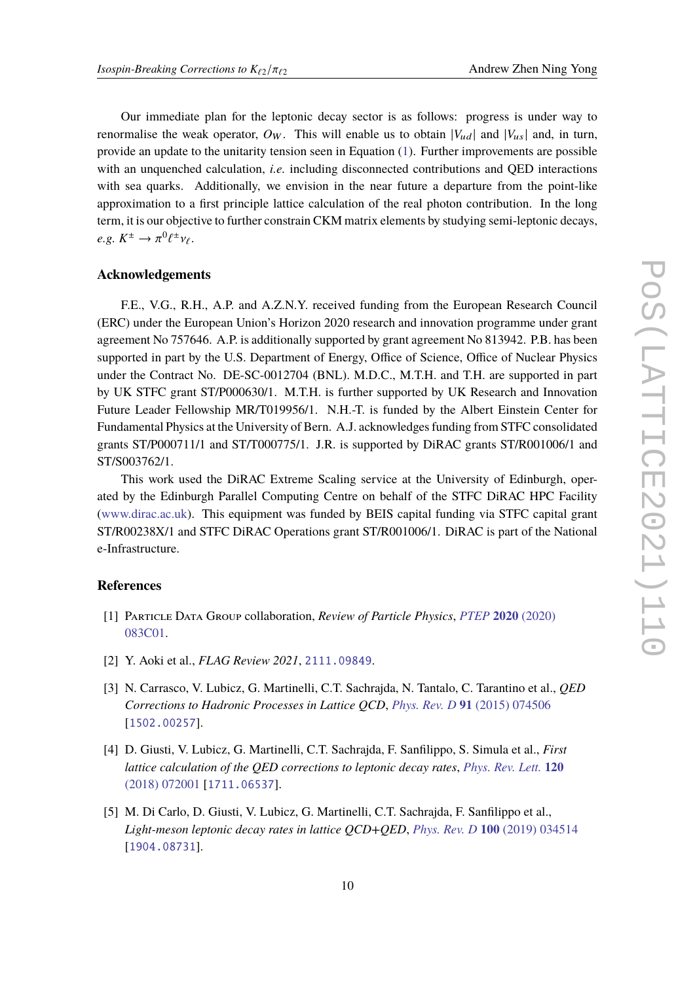Our immediate plan for the leptonic decay sector is as follows: progress is under way to renormalise the weak operator,  $O_W$ . This will enable us to obtain  $|V_{ud}|$  and  $|V_{us}|$  and, in turn, provide an update to the unitarity tension seen in Equation [\(1\)](#page-1-0). Further improvements are possible with an unquenched calculation, *i.e.* including disconnected contributions and QED interactions with sea quarks. Additionally, we envision in the near future a departure from the point-like approximation to a first principle lattice calculation of the real photon contribution. In the long term, it is our objective to further constrain CKM matrix elements by studying semi-leptonic decays,  $e.g. K^{\pm} \to \pi^0 \ell^{\pm} \nu_{\ell}.$ 

## **Acknowledgements**

F.E., V.G., R.H., A.P. and A.Z.N.Y. received funding from the European Research Council (ERC) under the European Union's Horizon 2020 research and innovation programme under grant agreement No 757646. A.P. is additionally supported by grant agreement No 813942. P.B. has been supported in part by the U.S. Department of Energy, Office of Science, Office of Nuclear Physics under the Contract No. DE-SC-0012704 (BNL). M.D.C., M.T.H. and T.H. are supported in part by UK STFC grant ST/P000630/1. M.T.H. is further supported by UK Research and Innovation Future Leader Fellowship MR/T019956/1. N.H.-T. is funded by the Albert Einstein Center for Fundamental Physics at the University of Bern. A.J. acknowledges funding from STFC consolidated grants ST/P000711/1 and ST/T000775/1. J.R. is supported by DiRAC grants ST/R001006/1 and ST/S003762/1.

This work used the DiRAC Extreme Scaling service at the University of Edinburgh, operated by the Edinburgh Parallel Computing Centre on behalf of the STFC DiRAC HPC Facility [\(www.dirac.ac.uk\)](www.dirac.ac.uk). This equipment was funded by BEIS capital funding via STFC capital grant ST/R00238X/1 and STFC DiRAC Operations grant ST/R001006/1. DiRAC is part of the National e-Infrastructure.

#### **References**

- <span id="page-9-0"></span>[1] Particle Data Group collaboration, *Review of Particle Physics*, *[PTEP](https://doi.org/10.1093/ptep/ptaa104)* **2020** (2020) [083C01.](https://doi.org/10.1093/ptep/ptaa104)
- <span id="page-9-1"></span>[2] Y. Aoki et al., *FLAG Review 2021*, [2111.09849](https://arxiv.org/abs/2111.09849).
- <span id="page-9-2"></span>[3] N. Carrasco, V. Lubicz, G. Martinelli, C.T. Sachrajda, N. Tantalo, C. Tarantino et al., *QED Corrections to Hadronic Processes in Lattice QCD*, *[Phys. Rev. D](https://doi.org/10.1103/PhysRevD.91.074506)* **91** (2015) 074506 [[1502.00257](https://arxiv.org/abs/1502.00257)].
- <span id="page-9-3"></span>[4] D. Giusti, V. Lubicz, G. Martinelli, C.T. Sachrajda, F. Sanfilippo, S. Simula et al., *First lattice calculation of the QED corrections to leptonic decay rates*, *[Phys. Rev. Lett.](https://doi.org/10.1103/PhysRevLett.120.072001)* **120** [\(2018\) 072001](https://doi.org/10.1103/PhysRevLett.120.072001) [[1711.06537](https://arxiv.org/abs/1711.06537)].
- <span id="page-9-4"></span>[5] M. Di Carlo, D. Giusti, V. Lubicz, G. Martinelli, C.T. Sachrajda, F. Sanfilippo et al., *Light-meson leptonic decay rates in lattice QCD+QED*, *[Phys. Rev. D](https://doi.org/10.1103/PhysRevD.100.034514)* **100** (2019) 034514 [[1904.08731](https://arxiv.org/abs/1904.08731)].